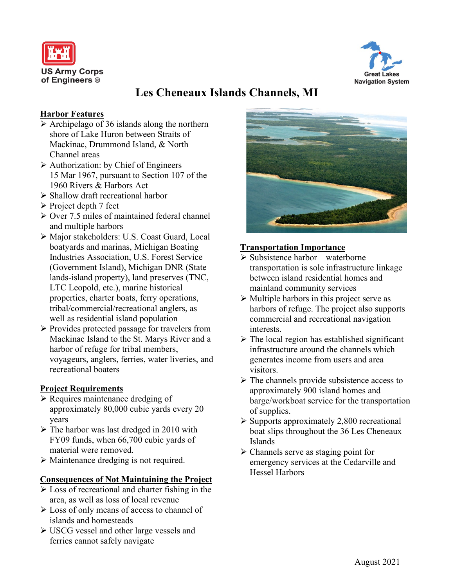



# **Les Cheneaux Islands Channels, MI**

## **Harbor Features**

- $\triangleright$  Archipelago of 36 islands along the northern shore of Lake Huron between Straits of Mackinac, Drummond Island, & North Channel areas
- $\triangleright$  Authorization: by Chief of Engineers 15 Mar 1967, pursuant to Section 107 of the 1960 Rivers & Harbors Act
- $\triangleright$  Shallow draft recreational harbor
- Project depth 7 feet
- $\geq$  Over 7.5 miles of maintained federal channel and multiple harbors
- Major stakeholders: U.S. Coast Guard, Local boatyards and marinas, Michigan Boating Industries Association, U.S. Forest Service (Government Island), Michigan DNR (State lands-island property), land preserves (TNC, LTC Leopold, etc.), marine historical properties, charter boats, ferry operations, tribal/commercial/recreational anglers, as well as residential island population
- Provides protected passage for travelers from Mackinac Island to the St. Marys River and a harbor of refuge for tribal members, voyageurs, anglers, ferries, water liveries, and recreational boaters

# **Project Requirements**

- $\triangleright$  Requires maintenance dredging of approximately 80,000 cubic yards every 20 years
- $\triangleright$  The harbor was last dredged in 2010 with FY09 funds, when 66,700 cubic yards of material were removed.
- Maintenance dredging is not required.

# **Consequences of Not Maintaining the Project**

- $\triangleright$  Loss of recreational and charter fishing in the area, as well as loss of local revenue
- $\triangleright$  Loss of only means of access to channel of islands and homesteads
- USCG vessel and other large vessels and ferries cannot safely navigate



## **Transportation Importance**

- $\triangleright$  Subsistence harbor waterborne transportation is sole infrastructure linkage between island residential homes and mainland community services
- $\triangleright$  Multiple harbors in this project serve as harbors of refuge. The project also supports commercial and recreational navigation interests.
- $\triangleright$  The local region has established significant infrastructure around the channels which generates income from users and area visitors.
- $\triangleright$  The channels provide subsistence access to approximately 900 island homes and barge/workboat service for the transportation of supplies.
- $\geq$  Supports approximately 2,800 recreational boat slips throughout the 36 Les Cheneaux Islands
- $\triangleright$  Channels serve as staging point for emergency services at the Cedarville and Hessel Harbors